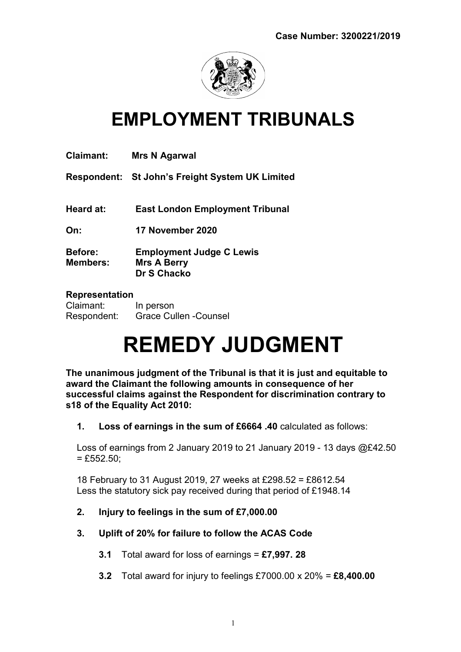

## EMPLOYMENT TRIBUNALS

| <b>Claimant:</b>                  | Mrs N Agarwal                                                 |
|-----------------------------------|---------------------------------------------------------------|
|                                   | Respondent: St John's Freight System UK Limited               |
| Heard at:                         | <b>East London Employment Tribunal</b>                        |
| On:                               | 17 November 2020                                              |
| <b>Before:</b><br><b>Members:</b> | <b>Employment Judge C Lewis</b><br>Mrs A Berry<br>Dr S Chacko |
| Donrocontation                    |                                                               |

#### Representation

| Claimant:   | In person                     |
|-------------|-------------------------------|
| Respondent: | <b>Grace Cullen - Counsel</b> |

# REMEDY JUDGMENT

The unanimous judgment of the Tribunal is that it is just and equitable to award the Claimant the following amounts in consequence of her successful claims against the Respondent for discrimination contrary to s18 of the Equality Act 2010:

1. Loss of earnings in the sum of £6664 .40 calculated as follows:

Loss of earnings from 2 January 2019 to 21 January 2019 - 13 days  $@E42.50$  $=$  £552.50;

18 February to 31 August 2019, 27 weeks at £298.52 = £8612.54 Less the statutory sick pay received during that period of £1948.14

- 2. Injury to feelings in the sum of £7,000.00
- 3. Uplift of 20% for failure to follow the ACAS Code
	- 3.1 Total award for loss of earnings  $=$  £7,997. 28
	- 3.2 Total award for injury to feelings £7000.00  $\times$  20% = £8,400.00